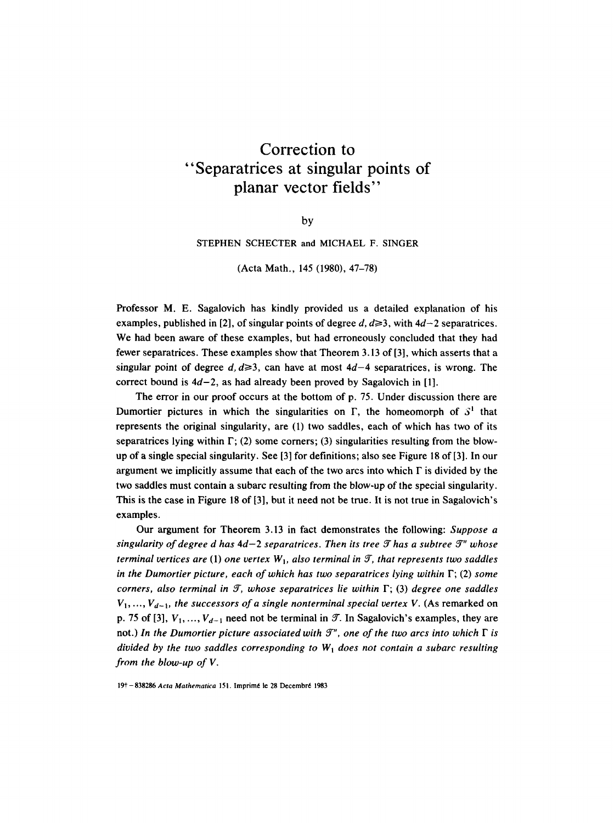## **Correction to "Separatrices at singular points**  of **planar vector fields"**

by

STEPHEN SCHECTER and MICHAEL F. SINGER

(Acta Math., 145 (1980), 47-78)

Professor M. E. Sagalovich has kindly provided us a detailed explanation of his examples, published in [2], of singular points of degree d,  $d \ge 3$ , with  $4d-2$  separatrices. We had been aware of these examples, but had erroneously concluded that they had fewer separatrices. These examples show that Theorem 3.13 of [3], which asserts that a singular point of degree d,  $d \ge 3$ , can have at most  $4d-4$  separatrices, is wrong. The correct bound is  $4d-2$ , as had already been proved by Sagalovich in [1].

The error in our proof occurs at the bottom of p. 75. Under discussion there are Dumortier pictures in which the singularities on  $\Gamma$ , the homeomorph of  $S<sup>1</sup>$  that represents the original singularity, are (1) two saddles, each of which has two of its separatrices lying within  $\Gamma$ ; (2) some corners; (3) singularities resulting from the blowup of a single special singularity. See [3] for definitions; also see Figure 18 of [3]. In our argument we implicitly assume that each of the two arcs into which  $\Gamma$  is divided by the two saddles must contain a subarc resulting from the blow-up of the special singularity. This is the case in Figure 18 of [3], but it need not be true. It is not true in Sagalovich's examples.

Our argument for Theorem 3.13 in fact demonstrates the following: *Suppose a singularity of degree d has*  $4d-2$  *separatrices. Then its tree*  $\mathcal T$  *has a subtree*  $\mathcal T''$  *whose terminal vertices are (1) one vertex*  $W<sub>1</sub>$ , also terminal in  $\mathcal{T}$ , that represents two saddles *in the Dumortier picture, each of which has two separatrices lying within*  $\Gamma$ ; (2) *some corners, also terminal in if, whose separatrices lie within* F; (3) *degree one saddles*   $V_1, ..., V_{d-1}$ , the successors of a single nonterminal special vertex V. (As remarked on p. 75 of [3],  $V_1, ..., V_{d-1}$  need not be terminal in  $\mathcal{T}$ . In Sagalovich's examples, they are not.) In the Dumortier picture associated with  $\mathcal{T}^r$ , one of the two arcs into which  $\Gamma$  is *divided by the two saddles corresponding to*  $W<sub>1</sub>$  *does not contain a subarc resulting from the blow-up of V.* 

19<sup>†</sup> - 838286 *Acta Mathematica* 151. Imprimé le 28 Decembré 1983